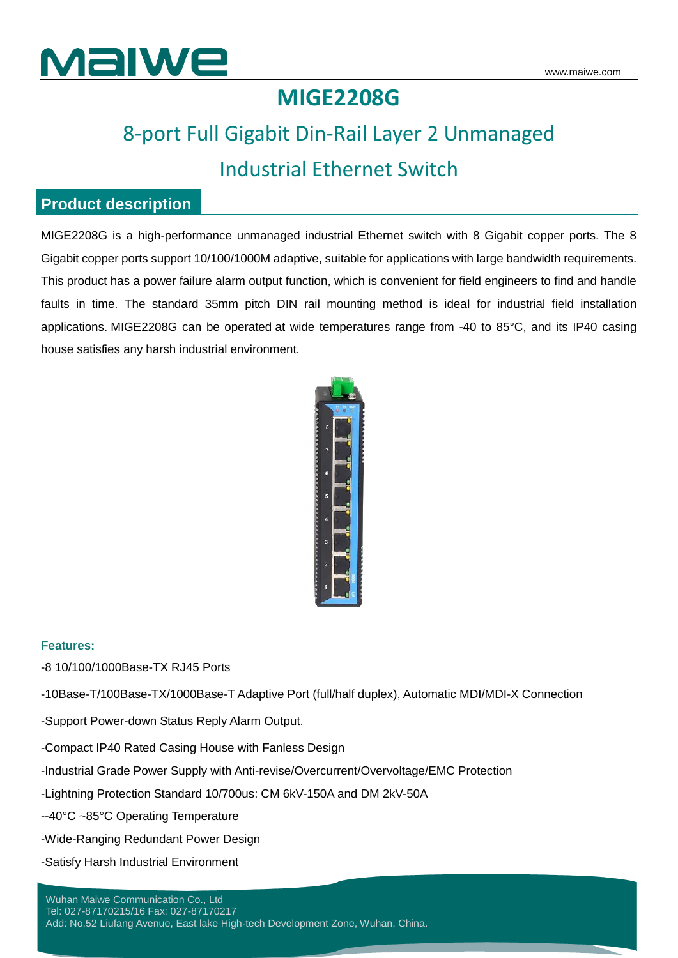

### **MIGE2208G**

## 8-port Full Gigabit Din-Rail Layer 2 Unmanaged Industrial Ethernet Switch

### **Product description**

MIGE2208G is a high-performance unmanaged industrial Ethernet switch with 8 Gigabit copper ports. The 8 Gigabit copper ports support 10/100/1000M adaptive, suitable for applications with large bandwidth requirements. This product has a power failure alarm output function, which is convenient for field engineers to find and handle faults in time. The standard 35mm pitch DIN rail mounting method is ideal for industrial field installation applications. MIGE2208G can be operated at wide temperatures range from -40 to 85°C, and its IP40 casing house satisfies any harsh industrial environment.



#### **Features:**

-8 10/100/1000Base-TX RJ45 Ports

-10Base-T/100Base-TX/1000Base-T Adaptive Port (full/half duplex), Automatic MDI/MDI-X Connection

-Support Power-down Status Reply Alarm Output.

-Compact IP40 Rated Casing House with Fanless Design

-Industrial Grade Power Supply with Anti-revise/Overcurrent/Overvoltage/EMC Protection

-Lightning Protection Standard 10/700us: CM 6kV-150A and DM 2kV-50A

--40°C ~85°C Operating Temperature

-Wide-Ranging Redundant Power Design

-Satisfy Harsh Industrial Environment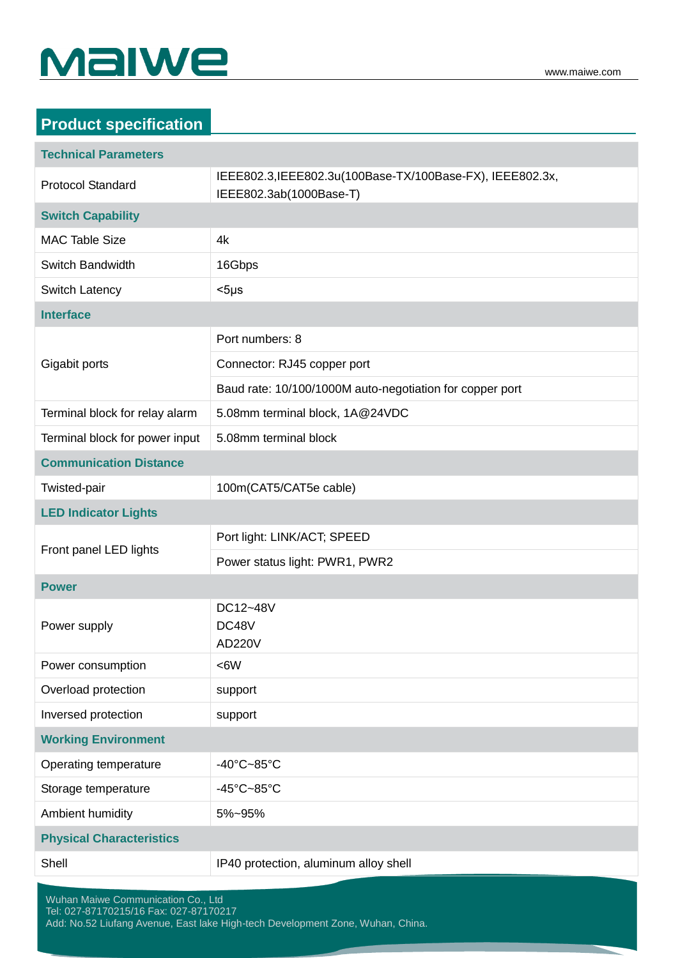# Malwe

| <b>Product specification</b>       |                                                                                      |
|------------------------------------|--------------------------------------------------------------------------------------|
| <b>Technical Parameters</b>        |                                                                                      |
| <b>Protocol Standard</b>           | IEEE802.3, IEEE802.3u(100Base-TX/100Base-FX), IEEE802.3x,<br>IEEE802.3ab(1000Base-T) |
| <b>Switch Capability</b>           |                                                                                      |
| <b>MAC Table Size</b>              | 4k                                                                                   |
| Switch Bandwidth                   | 16Gbps                                                                               |
| Switch Latency                     | $<$ 5µs                                                                              |
| <b>Interface</b>                   |                                                                                      |
| Gigabit ports                      | Port numbers: 8                                                                      |
|                                    | Connector: RJ45 copper port                                                          |
|                                    | Baud rate: 10/100/1000M auto-negotiation for copper port                             |
| Terminal block for relay alarm     | 5.08mm terminal block, 1A@24VDC                                                      |
| Terminal block for power input     | 5.08mm terminal block                                                                |
| <b>Communication Distance</b>      |                                                                                      |
| Twisted-pair                       | 100m(CAT5/CAT5e cable)                                                               |
| <b>LED Indicator Lights</b>        |                                                                                      |
| Front panel LED lights             | Port light: LINK/ACT; SPEED                                                          |
|                                    | Power status light: PWR1, PWR2                                                       |
| <b>Power</b>                       |                                                                                      |
| Power supply                       | DC12~48V<br>DC48V<br><b>AD220V</b>                                                   |
| Power consumption                  | <6W                                                                                  |
| Overload protection                | support                                                                              |
| Inversed protection                | support                                                                              |
| <b>Working Environment</b>         |                                                                                      |
| Operating temperature              | -40 $^{\circ}$ C~85 $^{\circ}$ C                                                     |
| Storage temperature                | $-45^{\circ}$ C $-85^{\circ}$ C                                                      |
| Ambient humidity                   | 5%~95%                                                                               |
| <b>Physical Characteristics</b>    |                                                                                      |
| Shell                              | IP40 protection, aluminum alloy shell                                                |
| Wuhan Maiwe Communication Co., Ltd |                                                                                      |

Tel: 027-87170215/16 Fax: 027-87170217 Add: No.52 Liufang Avenue, East lake High-tech Development Zone, Wuhan, China.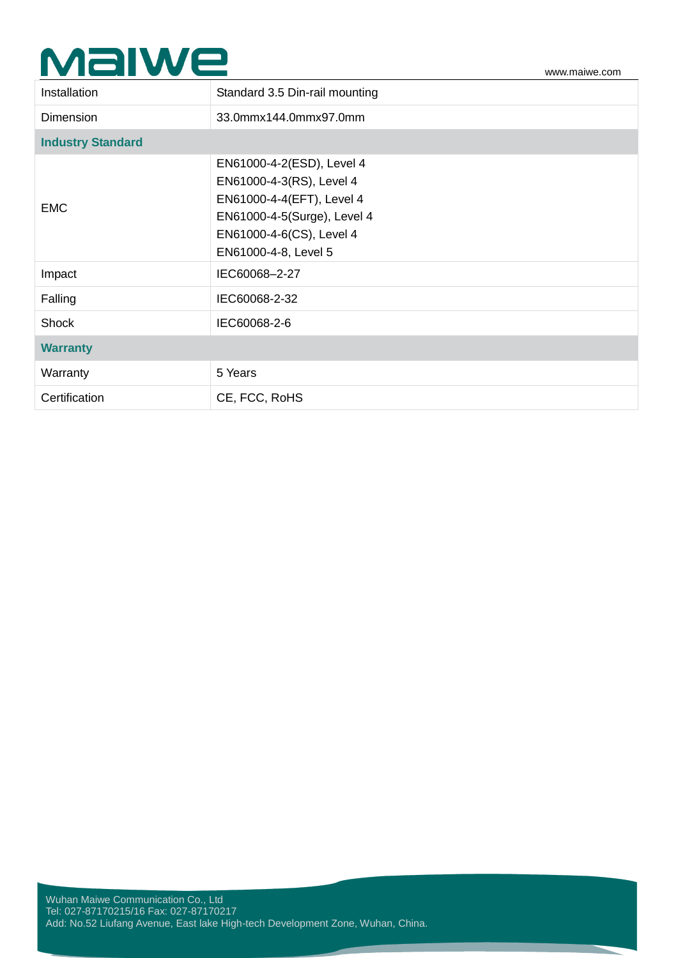# $\mathsf{\mathbf{M}\mathbf{al}}\mathsf{\mathbf{w}\mathbf{R}}\mathsf{\mathbf{w}\mathbf{w}\mathbf{m}\mathbf{a}}\mathsf{w}\mathsf{w}\mathsf{m}\mathsf{a}}$

| Installation             | Standard 3.5 Din-rail mounting                                                                                                                                        |  |
|--------------------------|-----------------------------------------------------------------------------------------------------------------------------------------------------------------------|--|
| <b>Dimension</b>         | 33.0mmx144.0mmx97.0mm                                                                                                                                                 |  |
| <b>Industry Standard</b> |                                                                                                                                                                       |  |
| <b>EMC</b>               | EN61000-4-2(ESD), Level 4<br>EN61000-4-3(RS), Level 4<br>EN61000-4-4(EFT), Level 4<br>EN61000-4-5(Surge), Level 4<br>EN61000-4-6(CS), Level 4<br>EN61000-4-8, Level 5 |  |
| Impact                   | IEC60068-2-27                                                                                                                                                         |  |
| Falling                  | IEC60068-2-32                                                                                                                                                         |  |
| <b>Shock</b>             | IEC60068-2-6                                                                                                                                                          |  |
| <b>Warranty</b>          |                                                                                                                                                                       |  |
| Warranty                 | 5 Years                                                                                                                                                               |  |
| Certification            | CE, FCC, RoHS                                                                                                                                                         |  |